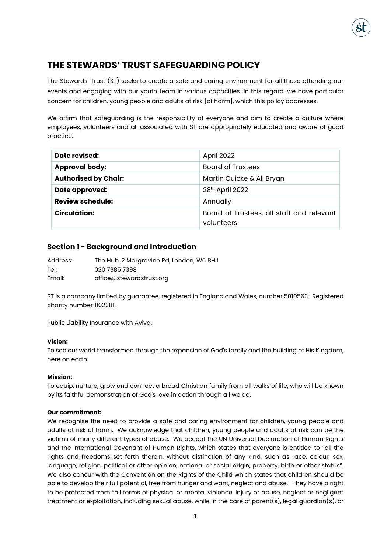# **THE STEWARDS' TRUST SAFEGUARDING POLICY**

The Stewards' Trust (ST) seeks to create a safe and caring environment for all those attending our events and engaging with our youth team in various capacities. In this regard, we have particular concern for children, young people and adults at risk [of harm], which this policy addresses.

We affirm that safeguarding is the responsibility of everyone and aim to create a culture where employees, volunteers and all associated with ST are appropriately educated and aware of good practice.

| Date revised:               | April 2022                                              |
|-----------------------------|---------------------------------------------------------|
| <b>Approval body:</b>       | <b>Board of Trustees</b>                                |
| <b>Authorised by Chair:</b> | Martin Quicke & Ali Bryan                               |
| <b>Date approved:</b>       | 28 <sup>th</sup> April 2022                             |
| <b>Review schedule:</b>     | Annually                                                |
| <b>Circulation:</b>         | Board of Trustees, all staff and relevant<br>volunteers |

### **Section 1 - Background and Introduction**

| Address: | The Hub, 2 Margravine Rd, London, W6 8HJ |
|----------|------------------------------------------|
| Tel:     | 020 7385 7398                            |
| Email:   | office@stewardstrust.org                 |

ST is a company limited by guarantee, registered in England and Wales, number 5010563. Registered charity number 1102381.

Public Liability Insurance with Aviva.

### **Vision:**

To see our world transformed through the expansion of God's family and the building of His Kingdom, here on earth.

### **Mission:**

To equip, nurture, grow and connect a broad Christian family from all walks of life, who will be known by its faithful demonstration of God's love in action through all we do.

### **Our commitment:**

We recognise the need to provide a safe and caring environment for children, young people and adults at risk of harm. We acknowledge that children, young people and adults at risk can be the victims of many different types of abuse. We accept the UN Universal Declaration of Human Rights and the International Covenant of Human Rights, which states that everyone is entitled to "all the rights and freedoms set forth therein, without distinction of any kind, such as race, colour, sex, language, religion, political or other opinion, national or social origin, property, birth or other status". We also concur with the Convention on the Rights of the Child which states that children should be able to develop their full potential, free from hunger and want, neglect and abuse. They have a right to be protected from "all forms of physical or mental violence, injury or abuse, neglect or negligent treatment or exploitation, including sexual abuse, while in the care of parent(s), legal guardian(s), or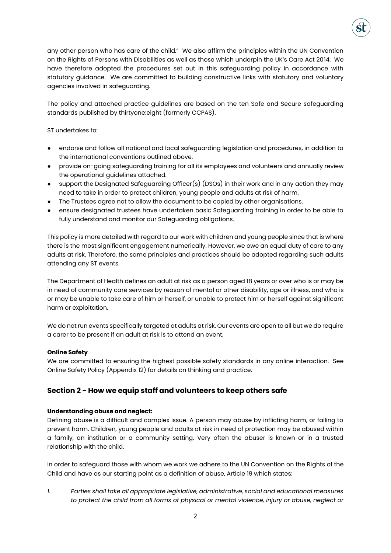

any other person who has care of the child." We also affirm the principles within the UN Convention on the Rights of Persons with Disabilities as well as those which underpin the UK's Care Act 2014. We have therefore adopted the procedures set out in this safeguarding policy in accordance with statutory guidance. We are committed to building constructive links with statutory and voluntary agencies involved in safeguarding.

The policy and attached practice guidelines are based on the ten Safe and Secure safeguarding standards published by thirtyone:eight (formerly CCPAS).

### ST undertakes to:

- endorse and follow all national and local safeguarding legislation and procedures, in addition to the international conventions outlined above.
- provide on-going safeguarding training for all its employees and volunteers and annually review the operational guidelines attached.
- support the Designated Safeguarding Officer(s) (DSOs) in their work and in any action they may need to take in order to protect children, young people and adults at risk of harm.
- The Trustees agree not to allow the document to be copied by other organisations.
- ensure designated trustees have undertaken basic Safeguarding training in order to be able to fully understand and monitor our Safeguarding obligations.

This policy is more detailed with regard to our work with children and young people since that is where there is the most significant engagement numerically. However, we owe an equal duty of care to any adults at risk. Therefore, the same principles and practices should be adopted regarding such adults attending any ST events.

The Department of Health defines an adult at risk as a person aged 18 years or over who is or may be in need of community care services by reason of mental or other disability, age or illness, and who is or may be unable to take care of him or herself, or unable to protect him or herself against significant harm or exploitation.

We do not run events specifically targeted at adults at risk. Our events are open to all but we do require a carer to be present if an adult at risk is to attend an event.

### **Online Safety**

We are committed to ensuring the highest possible safety standards in any online interaction. See Online Safety Policy (Appendix 12) for details on thinking and practice.

# **Section 2 - How we equip staff and volunteers to keep others safe**

### **Understanding abuse and neglect:**

Defining abuse is a difficult and complex issue. A person may abuse by inflicting harm, or failing to prevent harm. Children, young people and adults at risk in need of protection may be abused within a family, an institution or a community setting. Very often the abuser is known or in a trusted relationship with the child.

In order to safeguard those with whom we work we adhere to the UN Convention on the Rights of the Child and have as our starting point as a definition of abuse, Article 19 which states:

*1. Parties shall take all appropriate legislative, administrative, social and educational measures to protect the child from all forms of physical or mental violence, injury or abuse, neglect or*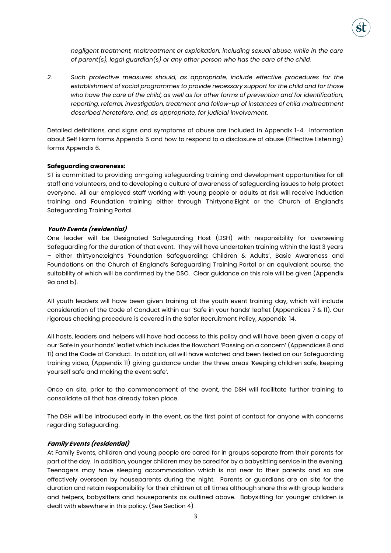

*negligent treatment, maltreatment or exploitation, including sexual abuse, while in the care of parent(s), legal guardian(s) or any other person who has the care of the child.* 

*2. Such protective measures should, as appropriate, include effective procedures for the establishment of social programmes to provide necessary support for the child and for those who have the care of the child, as well as for other forms of prevention and for identification, reporting, referral, investigation, treatment and follow-up of instances of child maltreatment described heretofore, and, as appropriate, for judicial involvement.* 

Detailed definitions, and signs and symptoms of abuse are included in Appendix 1-4. Information about Self Harm forms Appendix 5 and how to respond to a disclosure of abuse (Effective Listening) forms Appendix 6.

#### **Safeguarding awareness:**

ST is committed to providing on-going safeguarding training and development opportunities for all staff and volunteers, and to developing a culture of awareness of safeguarding issues to help protect everyone. All our employed staff working with young people or adults at risk will receive induction training and Foundation training either through Thirtyone:Eight or the Church of England's Safeguarding Training Portal.

#### **Youth Events (residential)**

One leader will be Designated Safeguarding Host (DSH) with responsibility for overseeing Safeguarding for the duration of that event. They will have undertaken training within the last 3 years – either thirtyone:eight's 'Foundation Safeguarding: Children & Adults', Basic Awareness and Foundations on the Church of England's Safeguarding Training Portal or an equivalent course, the suitability of which will be confirmed by the DSO. Clear guidance on this role will be given (Appendix 9a and b).

All youth leaders will have been given training at the youth event training day, which will include consideration of the Code of Conduct within our 'Safe in your hands' leaflet (Appendices 7 & 11). Our rigorous checking procedure is covered in the Safer Recruitment Policy, Appendix 14.

All hosts, leaders and helpers will have had access to this policy and will have been given a copy of our 'Safe in your hands' leaflet which includes the flowchart 'Passing on a concern' (Appendices 8 and 11) and the Code of Conduct. In addition, all will have watched and been tested on our Safeguarding training video, (Appendix 11) giving guidance under the three areas 'Keeping children safe, keeping yourself safe and making the event safe'.

Once on site, prior to the commencement of the event, the DSH will facilitate further training to consolidate all that has already taken place.

The DSH will be introduced early in the event, as the first point of contact for anyone with concerns regarding Safeguarding.

#### **Family Events (residential)**

At Family Events, children and young people are cared for in groups separate from their parents for part of the day. In addition, younger children may be cared for by a babysitting service in the evening. Teenagers may have sleeping accommodation which is not near to their parents and so are effectively overseen by houseparents during the night. Parents or guardians are on site for the duration and retain responsibility for their children at all times although share this with group leaders and helpers, babysitters and houseparents as outlined above. Babysitting for younger children is dealt with elsewhere in this policy. (See Section 4)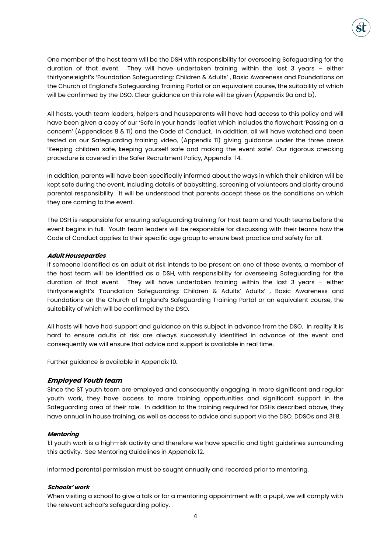

One member of the host team will be the DSH with responsibility for overseeing Safeguarding for the duration of that event. They will have undertaken training within the last 3 years – either thirtyone:eight's 'Foundation Safeguarding: Children & Adults' , Basic Awareness and Foundations on the Church of England's Safeguarding Training Portal or an equivalent course, the suitability of which will be confirmed by the DSO. Clear guidance on this role will be given (Appendix 9a and b).

All hosts, youth team leaders, helpers and houseparents will have had access to this policy and will have been given a copy of our 'Safe in your hands' leaflet which includes the flowchart 'Passing on a concern' (Appendices 8 & 11) and the Code of Conduct. In addition, all will have watched and been tested on our Safeguarding training video, (Appendix 11) giving guidance under the three areas 'Keeping children safe, keeping yourself safe and making the event safe'. Our rigorous checking procedure is covered in the Safer Recruitment Policy, Appendix 14.

In addition, parents will have been specifically informed about the ways in which their children will be kept safe during the event, including details of babysitting, screening of volunteers and clarity around parental responsibility. It will be understood that parents accept these as the conditions on which they are coming to the event.

The DSH is responsible for ensuring safeguarding training for Host team and Youth teams before the event begins in full. Youth team leaders will be responsible for discussing with their teams how the Code of Conduct applies to their specific age group to ensure best practice and safety for all.

### **Adult Houseparties**

If someone identified as an adult at risk intends to be present on one of these events, a member of the host team will be identified as a DSH, with responsibility for overseeing Safeguarding for the duration of that event. They will have undertaken training within the last 3 years – either thirtyone:eight's 'Foundation Safeguarding: Children & Adults' Adults' , Basic Awareness and Foundations on the Church of England's Safeguarding Training Portal or an equivalent course, the suitability of which will be confirmed by the DSO.

All hosts will have had support and guidance on this subject in advance from the DSO. In reality it is hard to ensure adults at risk are always successfully identified in advance of the event and consequently we will ensure that advice and support is available in real time.

Further guidance is available in Appendix 10.

### **Employed Youth team**

Since the ST youth team are employed and consequently engaging in more significant and regular youth work, they have access to more training opportunities and significant support in the Safeguarding area of their role. In addition to the training required for DSHs described above, they have annual in house training, as well as access to advice and support via the DSO, DDSOs and 31:8*.*

### **Mentoring**

1:1 youth work is a high-risk activity and therefore we have specific and tight guidelines surrounding this activity. See Mentoring Guidelines in Appendix 12.

Informed parental permission must be sought annually and recorded prior to mentoring.

### **Schools' work**

When visiting a school to give a talk or for a mentoring appointment with a pupil, we will comply with the relevant school's safeguarding policy.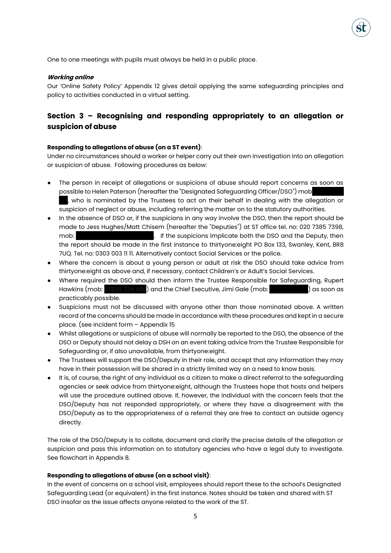

One to one meetings with pupils must always be held in a public place.

#### **Working online**

Our 'Online Safety Policy' Appendix 12 gives detail applying the same safeguarding principles and policy to activities conducted in a virtual setting.

# **Section 3 – Recognising and responding appropriately to an allegation or suspicion of abuse**

### **Responding to allegations of abuse (on a ST event)**:

Under no circumstances should a worker or helper carry out their own investigation into an allegation or suspicion of abuse. Following procedures as below:

- The person in receipt of allegations or suspicions of abuse should report concerns as soon as possible to Helen Paterson (hereafter the "Designated Safeguarding Officer/DSO") mob , who is nominated by the Trustees to act on their behalf in dealing with the allegation or suspicion of neglect or abuse, including referring the matter on to the statutory authorities.
- In the absence of DSO or, if the suspicions in any way involve the DSO, then the report should be made to Jess Hughes/Matt Chisem (hereafter the "Deputies") at ST office tel. no: 020 7385 7398, mob: 0771566057. If the suspicions implicate both the DSO and the Deputy, then the report should be made in the first instance to thirtyone:eight PO Box 133, Swanley, Kent, BR8 7UQ. Tel. no: 0303 003 11 11. Alternatively contact Social Services or the police.
- Where the concern is about a young person or adult at risk the DSO should take advice from thirtyone:eight as above and, if necessary, contact Children's or Adult's Social Services.
- Where required the DSO should then inform the Trustee Responsible for Safeguarding, Rupert Hawkins (mob: 07899 724 498) and the Chief Executive, Jimi Gale (mob: 078 314 713 814 713 713 7124 143 7124 71 practicably possible.
- Suspicions must not be discussed with anyone other than those nominated above. A written record of the concerns should be made in accordance with these procedures and kept in a secure place. (see incident form – Appendix 15
- Whilst allegations or suspicions of abuse will normally be reported to the DSO, the absence of the DSO or Deputy should not delay a DSH on an event taking advice from the Trustee Responsible for Safeguarding or, if also unavailable, from thirtyone:eight.
- The Trustees will support the DSO/Deputy in their role, and accept that any information they may have in their possession will be shared in a strictly limited way on a need to know basis.
- It is, of course, the right of any individual as a citizen to make a direct referral to the safeguarding agencies or seek advice from thirtyone:eight, although the Trustees hope that hosts and helpers will use the procedure outlined above. If, however, the individual with the concern feels that the DSO/Deputy has not responded appropriately, or where they have a disagreement with the DSO/Deputy as to the appropriateness of a referral they are free to contact an outside agency directly.

The role of the DSO/Deputy is to collate, document and clarify the precise details of the allegation or suspicion and pass this information on to statutory agencies who have a legal duty to investigate. See flowchart in Appendix 8.

#### **Responding to allegations of abuse (on a school visit)**:

In the event of concerns on a school visit, employees should report these to the school's Designated Safeguarding Lead (or equivalent) in the first instance. Notes should be taken and shared with ST DSO insofar as the issue affects anyone related to the work of the ST.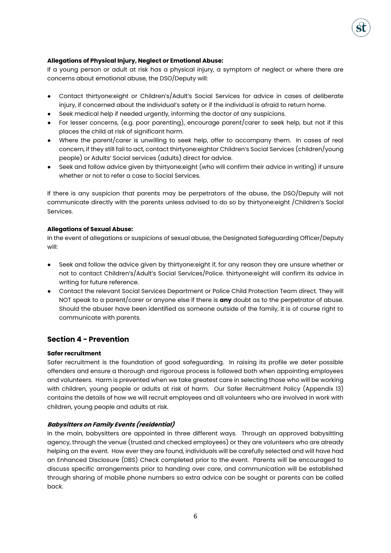### **Allegations of Physical Injury, Neglect or Emotional Abuse:**

If a young person or adult at risk has a physical injury, a symptom of neglect or where there are concerns about emotional abuse, the DSO/Deputy will:

- Contact thirtyone:eight or Children's/Adult's Social Services for advice in cases of deliberate injury, if concerned about the individual's safety or if the individual is afraid to return home.
- Seek medical help if needed urgently, informing the doctor of any suspicions.
- For lesser concerns, (e.g. poor parenting), encourage parent/carer to seek help, but not if this places the child at risk of significant harm.
- Where the parent/carer is unwilling to seek help, offer to accompany them. In cases of real concern, if they still fail to act, contact thirtyone:eightor Children's Social Services (children/young people) or Adults' Social services (adults) direct for advice.
- Seek and follow advice given by thirtyone: eight (who will confirm their advice in writing) if unsure whether or not to refer a case to Social Services.

If there is any suspicion that parents may be perpetrators of the abuse, the DSO/Deputy will not communicate directly with the parents unless advised to do so by thirtyone:eight /Children's Social Services.

### **Allegations of Sexual Abuse:**

In the event of allegations or suspicions of sexual abuse, the Designated Safeguarding Officer/Deputy will:

- Seek and follow the advice given by thirtyone: eight if, for any reason they are unsure whether or not to contact Children's/Adult's Social Services/Police. thirtyone:eight will confirm its advice in writing for future reference.
- Contact the relevant Social Services Department or Police Child Protection Team direct. They will NOT speak to a parent/carer or anyone else if there is **any** doubt as to the perpetrator of abuse. Should the abuser have been identified as someone outside of the family, it is of course right to communicate with parents.

# **Section 4 - Prevention**

### **Safer recruitment**

Safer recruitment is the foundation of good safeguarding. In raising its profile we deter possible offenders and ensure a thorough and rigorous process is followed both when appointing employees and volunteers. Harm is prevented when we take greatest care in selecting those who will be working with children, young people or adults at risk of harm. Our Safer Recruitment Policy (Appendix 13) contains the details of how we will recruit employees and all volunteers who are involved in work with children, young people and adults at risk.

### **Babysitters on Family Events (residential)**

In the main, babysitters are appointed in three different ways. Through an approved babysitting agency, through the venue (trusted and checked employees) or they are volunteers who are already helping on the event. How ever they are found, individuals will be carefully selected and will have had an Enhanced Disclosure (DBS) Check completed prior to the event. Parents will be encouraged to discuss specific arrangements prior to handing over care, and communication will be established through sharing of mobile phone numbers so extra advice can be sought or parents can be called back.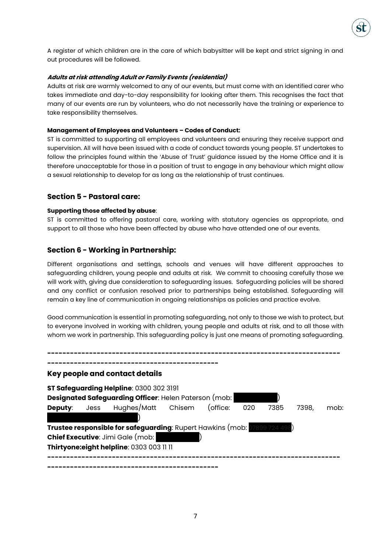

A register of which children are in the care of which babysitter will be kept and strict signing in and out procedures will be followed.

### **Adults at risk attending Adult or Family Events (residential)**

Adults at risk are warmly welcomed to any of our events, but must come with an identified carer who takes immediate and day-to-day responsibility for looking after them. This recognises the fact that many of our events are run by volunteers, who do not necessarily have the training or experience to take responsibility themselves.

### **Management of Employees and Volunteers – Codes of Conduct:**

ST is committed to supporting all employees and volunteers and ensuring they receive support and supervision. All will have been issued with a code of conduct towards young people. ST undertakes to follow the principles found within the 'Abuse of Trust' guidance issued by the Home Office and it is therefore unacceptable for those in a position of trust to engage in any behaviour which might allow a sexual relationship to develop for as long as the relationship of trust continues.

### **Section 5 - Pastoral care:**

### **Supporting those affected by abuse**:

ST is committed to offering pastoral care, working with statutory agencies as appropriate, and support to all those who have been affected by abuse who have attended one of our events.

### **Section 6 - Working in Partnership:**

Different organisations and settings, schools and venues will have different approaches to safeguarding children, young people and adults at risk. We commit to choosing carefully those we will work with, giving due consideration to safeguarding issues. Safeguarding policies will be shared and any conflict or confusion resolved prior to partnerships being established. Safeguarding will remain a key line of communication in ongoing relationships as policies and practice evolve.

Good communication is essential in promoting safeguarding, not only to those we wish to protect, but to everyone involved in working with children, young people and adults at risk, and to all those with whom we work in partnership. This safeguarding policy is just one means of promoting safeguarding.

|                     | Key people and contact details                                            |  |     |      |       |      |
|---------------------|---------------------------------------------------------------------------|--|-----|------|-------|------|
|                     | ST Safeguarding Helpline: 0300 302 3191                                   |  |     |      |       |      |
|                     | Designated Safeguarding Officer: Helen Paterson (mob:                     |  |     |      |       |      |
| <b>Deputy:</b> Jess | Hughes/Matt Chisem (office:                                               |  | 020 | 7385 | 7398, | mob: |
|                     |                                                                           |  |     |      |       |      |
|                     | Trustee responsible for safeguarding: Rupert Hawkins (mob: 07899 724 498) |  |     |      |       |      |
|                     | <b>Chief Executive: Jimi Gale (mob:</b>                                   |  |     |      |       |      |
|                     | Thirtyone:eight helpline: 0303 003 11 11                                  |  |     |      |       |      |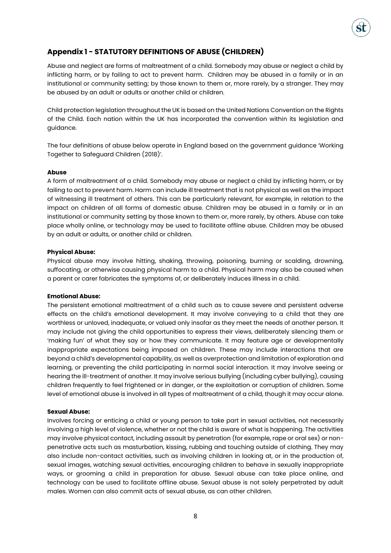# **Appendix 1 - STATUTORY DEFINITIONS OF ABUSE (CHILDREN)**

Abuse and neglect are forms of maltreatment of a child. Somebody may abuse or neglect a child by inflicting harm, or by failing to act to prevent harm. Children may be abused in a family or in an institutional or community setting; by those known to them or, more rarely, by a stranger. They may be abused by an adult or adults or another child or children.

Child protection legislation throughout the UK is based on the United Nations Convention on the Rights of the Child. Each nation within the UK has incorporated the convention within its legislation and guidance.

The four definitions of abuse below operate in England based on the government guidance 'Working Together to Safeguard Children (2018)'.

### **Abuse**

A form of maltreatment of a child. Somebody may abuse or neglect a child by inflicting harm, or by failing to act to prevent harm. Harm can include ill treatment that is not physical as well as the impact of witnessing ill treatment of others. This can be particularly relevant, for example, in relation to the impact on children of all forms of domestic abuse. Children may be abused in a family or in an institutional or community setting by those known to them or, more rarely, by others. Abuse can take place wholly online, or technology may be used to facilitate offline abuse. Children may be abused by an adult or adults, or another child or children.

#### **Physical Abuse:**

Physical abuse may involve hitting, shaking, throwing, poisoning, burning or scalding, drowning, suffocating, or otherwise causing physical harm to a child. Physical harm may also be caused when a parent or carer fabricates the symptoms of, or deliberately induces illness in a child.

#### **Emotional Abuse:**

The persistent emotional maltreatment of a child such as to cause severe and persistent adverse effects on the child's emotional development. It may involve conveying to a child that they are worthless or unloved, inadequate, or valued only insofar as they meet the needs of another person. It may include not giving the child opportunities to express their views, deliberately silencing them or 'making fun' of what they say or how they communicate. It may feature age or developmentally inappropriate expectations being imposed on children. These may include interactions that are beyond a child's developmental capability, as well as overprotection and limitation of exploration and learning, or preventing the child participating in normal social interaction. It may involve seeing or hearing the ill-treatment of another. It may involve serious bullying (including cyber bullying), causing children frequently to feel frightened or in danger, or the exploitation or corruption of children. Some level of emotional abuse is involved in all types of maltreatment of a child, though it may occur alone.

#### **Sexual Abuse:**

Involves forcing or enticing a child or young person to take part in sexual activities, not necessarily involving a high level of violence, whether or not the child is aware of what is happening. The activities may involve physical contact, including assault by penetration (for example, rape or oral sex) or nonpenetrative acts such as masturbation, kissing, rubbing and touching outside of clothing. They may also include non-contact activities, such as involving children in looking at, or in the production of, sexual images, watching sexual activities, encouraging children to behave in sexually inappropriate ways, or grooming a child in preparation for abuse. Sexual abuse can take place online, and technology can be used to facilitate offline abuse. Sexual abuse is not solely perpetrated by adult males. Women can also commit acts of sexual abuse, as can other children.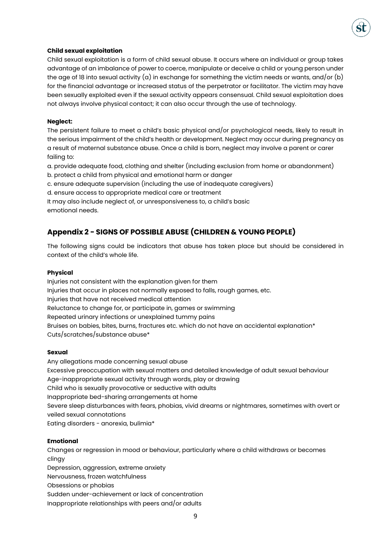### **Child sexual exploitation**

Child sexual exploitation is a form of child sexual abuse. It occurs where an individual or group takes advantage of an imbalance of power to coerce, manipulate or deceive a child or young person under the age of 18 into sexual activity (a) in exchange for something the victim needs or wants, and/or (b) for the financial advantage or increased status of the perpetrator or facilitator. The victim may have been sexually exploited even if the sexual activity appears consensual. Child sexual exploitation does not always involve physical contact; it can also occur through the use of technology.

### **Neglect:**

The persistent failure to meet a child's basic physical and/or psychological needs, likely to result in the serious impairment of the child's health or development. Neglect may occur during pregnancy as a result of maternal substance abuse. Once a child is born, neglect may involve a parent or carer failing to:

a. provide adequate food, clothing and shelter (including exclusion from home or abandonment)

b. protect a child from physical and emotional harm or danger

c. ensure adequate supervision (including the use of inadequate caregivers)

d. ensure access to appropriate medical care or treatment

It may also include neglect of, or unresponsiveness to, a child's basic emotional needs.

# **Appendix 2 - SIGNS OF POSSIBLE ABUSE (CHILDREN & YOUNG PEOPLE)**

The following signs could be indicators that abuse has taken place but should be considered in context of the child's whole life.

### **Physical**

Injuries not consistent with the explanation given for them Injuries that occur in places not normally exposed to falls, rough games, etc. Injuries that have not received medical attention Reluctance to change for, or participate in, games or swimming Repeated urinary infections or unexplained tummy pains Bruises on babies, bites, burns, fractures etc. which do not have an accidental explanation\* Cuts/scratches/substance abuse\*

### **Sexual**

Any allegations made concerning sexual abuse Excessive preoccupation with sexual matters and detailed knowledge of adult sexual behaviour Age-inappropriate sexual activity through words, play or drawing Child who is sexually provocative or seductive with adults Inappropriate bed-sharing arrangements at home Severe sleep disturbances with fears, phobias, vivid dreams or nightmares, sometimes with overt or veiled sexual connotations Eating disorders - anorexia, bulimia\*

### **Emotional**

Changes or regression in mood or behaviour, particularly where a child withdraws or becomes clingy Depression, aggression, extreme anxiety Nervousness, frozen watchfulness Obsessions or phobias Sudden under-achievement or lack of concentration Inappropriate relationships with peers and/or adults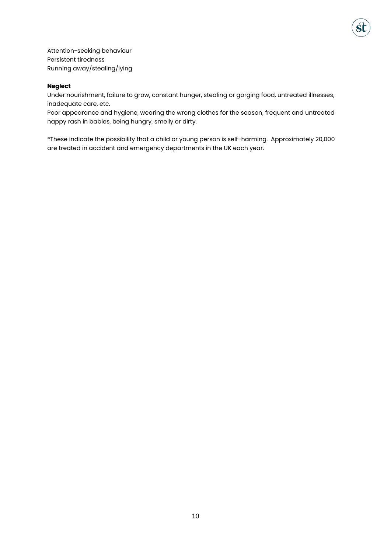Attention-seeking behaviour Persistent tiredness Running away/stealing/lying

### **Neglect**

Under nourishment, failure to grow, constant hunger, stealing or gorging food, untreated illnesses, inadequate care, etc.

Poor appearance and hygiene, wearing the wrong clothes for the season, frequent and untreated nappy rash in babies, being hungry, smelly or dirty.

\*These indicate the possibility that a child or young person is self-harming. Approximately 20,000 are treated in accident and emergency departments in the UK each year.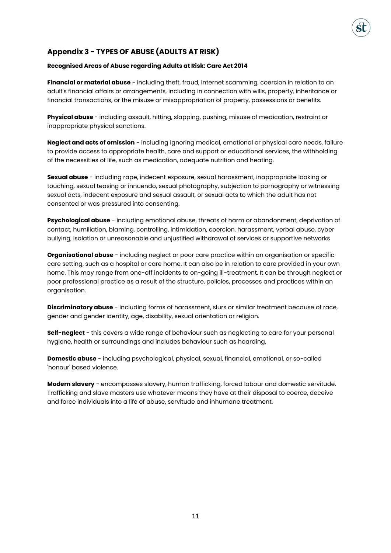# **Appendix 3 - TYPES OF ABUSE (ADULTS AT RISK)**

### **Recognised Areas of Abuse regarding Adults at Risk: Care Act 2014**

**Financial or material abuse** - including theft, fraud, internet scamming, coercion in relation to an adult's financial affairs or arrangements, including in connection with wills, property, inheritance or financial transactions, or the misuse or misappropriation of property, possessions or benefits.

**Physical abuse** - including assault, hitting, slapping, pushing, misuse of medication, restraint or inappropriate physical sanctions.

**Neglect and acts of omission** - including ignoring medical, emotional or physical care needs, failure to provide access to appropriate health, care and support or educational services, the withholding of the necessities of life, such as medication, adequate nutrition and heating.

**Sexual abuse** - including rape, indecent exposure, sexual harassment, inappropriate looking or touching, sexual teasing or innuendo, sexual photography, subjection to pornography or witnessing sexual acts, indecent exposure and sexual assault, or sexual acts to which the adult has not consented or was pressured into consenting.

**Psychological abuse** - including emotional abuse, threats of harm or abandonment, deprivation of contact, humiliation, blaming, controlling, intimidation, coercion, harassment, verbal abuse, cyber bullying, isolation or unreasonable and unjustified withdrawal of services or supportive networks

**Organisational abuse** - including neglect or poor care practice within an organisation or specific care setting, such as a hospital or care home. It can also be in relation to care provided in your own home. This may range from one-off incidents to on-going ill-treatment. It can be through neglect or poor professional practice as a result of the structure, policies, processes and practices within an organisation.

**Discriminatory abuse** - including forms of harassment, slurs or similar treatment because of race, gender and gender identity, age, disability, sexual orientation or religion.

**Self-neglect** - this covers a wide range of behaviour such as neglecting to care for your personal hygiene, health or surroundings and includes behaviour such as hoarding.

**Domestic abuse** - including psychological, physical, sexual, financial, emotional, or so-called 'honour' based violence.

**Modern slavery** - encompasses slavery, human trafficking, forced labour and domestic servitude. Trafficking and slave masters use whatever means they have at their disposal to coerce, deceive and force individuals into a life of abuse, servitude and inhumane treatment.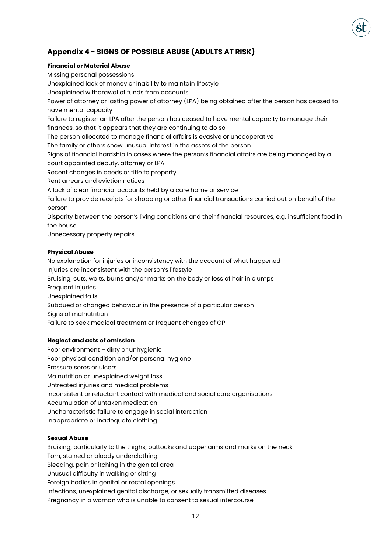# **Appendix 4 - SIGNS OF POSSIBLE ABUSE (ADULTS AT RISK)**

### **Financial or Material Abuse**

Missing personal possessions Unexplained lack of money or inability to maintain lifestyle Unexplained withdrawal of funds from accounts Power of attorney or lasting power of attorney (LPA) being obtained after the person has ceased to have mental capacity Failure to register an LPA after the person has ceased to have mental capacity to manage their finances, so that it appears that they are continuing to do so The person allocated to manage financial affairs is evasive or uncooperative The family or others show unusual interest in the assets of the person Signs of financial hardship in cases where the person's financial affairs are being managed by a court appointed deputy, attorney or LPA Recent changes in deeds or title to property Rent arrears and eviction notices A lack of clear financial accounts held by a care home or service Failure to provide receipts for shopping or other financial transactions carried out on behalf of the person Disparity between the person's living conditions and their financial resources, e.g. insufficient food in the house Unnecessary property repairs **Physical Abuse**

No explanation for injuries or inconsistency with the account of what happened Injuries are inconsistent with the person's lifestyle Bruising, cuts, welts, burns and/or marks on the body or loss of hair in clumps Frequent injuries Unexplained falls Subdued or changed behaviour in the presence of a particular person Signs of malnutrition Failure to seek medical treatment or frequent changes of GP

### **Neglect and acts of omission**

Poor environment - dirty or unhygienic Poor physical condition and/or personal hygiene Pressure sores or ulcers Malnutrition or unexplained weight loss Untreated injuries and medical problems Inconsistent or reluctant contact with medical and social care organisations Accumulation of untaken medication Uncharacteristic failure to engage in social interaction Inappropriate or inadequate clothing

### **Sexual Abuse**

Bruising, particularly to the thighs, buttocks and upper arms and marks on the neck Torn, stained or bloody underclothing Bleeding, pain or itching in the genital area Unusual difficulty in walking or sitting Foreign bodies in genital or rectal openings Infections, unexplained genital discharge, or sexually transmitted diseases Pregnancy in a woman who is unable to consent to sexual intercourse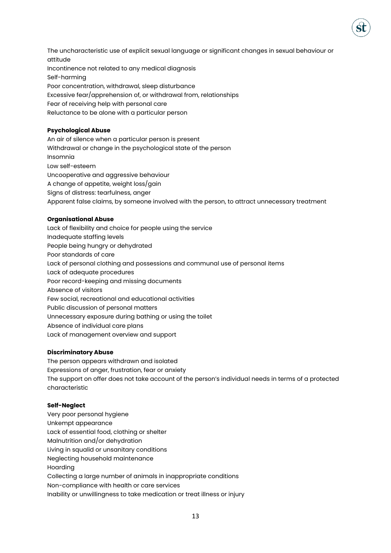The uncharacteristic use of explicit sexual language or significant changes in sexual behaviour or attitude Incontinence not related to any medical diagnosis Self-harming Poor concentration, withdrawal, sleep disturbance Excessive fear/apprehension of, or withdrawal from, relationships Fear of receiving help with personal care Reluctance to be alone with a particular person

### **Psychological Abuse**

An air of silence when a particular person is present Withdrawal or change in the psychological state of the person Insomnia Low self-esteem Uncooperative and aggressive behaviour A change of appetite, weight loss/gain Signs of distress: tearfulness, anger Apparent false claims, by someone involved with the person, to attract unnecessary treatment

### **Organisational Abuse**

Lack of flexibility and choice for people using the service Inadequate staffing levels People being hungry or dehydrated Poor standards of care Lack of personal clothing and possessions and communal use of personal items Lack of adequate procedures Poor record-keeping and missing documents Absence of visitors Few social, recreational and educational activities Public discussion of personal matters Unnecessary exposure during bathing or using the toilet Absence of individual care plans Lack of management overview and support

### **Discriminatory Abuse**

The person appears withdrawn and isolated Expressions of anger, frustration, fear or anxiety The support on offer does not take account of the person's individual needs in terms of a protected characteristic

### **Self-Neglect**

Very poor personal hygiene Unkempt appearance Lack of essential food, clothing or shelter Malnutrition and/or dehydration Living in squalid or unsanitary conditions Neglecting household maintenance Hoarding Collecting a large number of animals in inappropriate conditions Non-compliance with health or care services Inability or unwillingness to take medication or treat illness or injury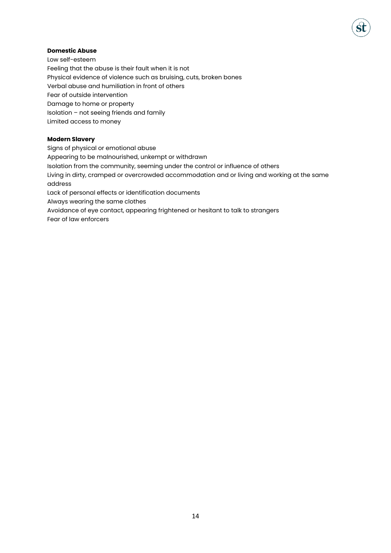### **Domestic Abuse**

Low self-esteem Feeling that the abuse is their fault when it is not Physical evidence of violence such as bruising, cuts, broken bones Verbal abuse and humiliation in front of others Fear of outside intervention Damage to home or property Isolation – not seeing friends and family Limited access to money

### **Modern Slavery**

Signs of physical or emotional abuse Appearing to be malnourished, unkempt or withdrawn Isolation from the community, seeming under the control or influence of others Living in dirty, cramped or overcrowded accommodation and or living and working at the same address Lack of personal effects or identification documents Always wearing the same clothes Avoidance of eye contact, appearing frightened or hesitant to talk to strangers Fear of law enforcers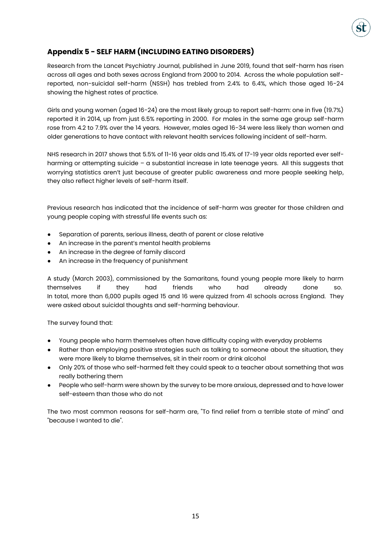# **Appendix 5 - SELF HARM (INCLUDING EATING DISORDERS)**

Research from the Lancet Psychiatry Journal, published in June 2019, found that self-harm has risen across all ages and both sexes across England from 2000 to 2014. Across the whole population selfreported, non-suicidal self-harm (NSSH) has trebled from 2.4% to 6.4%, which those aged 16-24 showing the highest rates of practice.

Girls and young women (aged 16-24) are the most likely group to report self-harm: one in five (19.7%) reported it in 2014, up from just 6.5% reporting in 2000. For males in the same age group self-harm rose from 4.2 to 7.9% over the 14 years. However, males aged 16-34 were less likely than women and older generations to have contact with relevant health services following incident of self-harm.

NHS research in 2017 shows that 5.5% of 11-16 year olds and 15.4% of 17-19 year olds reported ever selfharming or attempting suicide – a substantial increase in late teenage years. All this suggests that worrying statistics aren't just because of greater public awareness and more people seeking help, they also reflect higher levels of self-harm itself.

Previous research has indicated that the incidence of self-harm was greater for those children and young people coping with stressful life events such as:

- Separation of parents, serious illness, death of parent or close relative
- An increase in the parent's mental health problems
- An increase in the degree of family discord
- An increase in the frequency of punishment

A study (March 2003), commissioned by the Samaritans, found young people more likely to harm themselves if they had friends who had already done so. In total, more than 6,000 pupils aged 15 and 16 were quizzed from 41 schools across England. They were asked about suicidal thoughts and self-harming behaviour.

The survey found that:

- Young people who harm themselves often have difficulty coping with everyday problems
- Rather than employing positive strategies such as talking to someone about the situation, they were more likely to blame themselves, sit in their room or drink alcohol
- Only 20% of those who self-harmed felt they could speak to a teacher about something that was really bothering them
- People who self-harm were shown by the survey to be more anxious, depressed and to have lower self-esteem than those who do not

The two most common reasons for self-harm are, "To find relief from a terrible state of mind" and "because I wanted to die".

15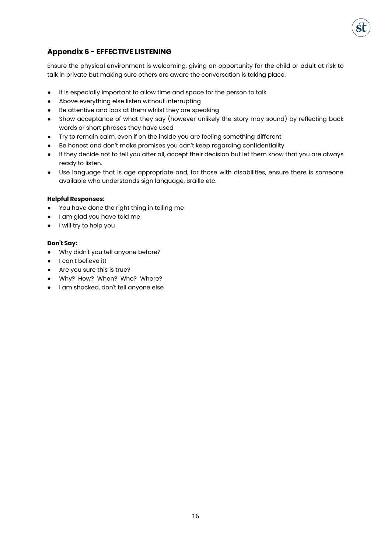

# **Appendix 6 - EFFECTIVE LISTENING**

Ensure the physical environment is welcoming, giving an opportunity for the child or adult at risk to talk in private but making sure others are aware the conversation is taking place.

- It is especially important to allow time and space for the person to talk
- Above everything else listen without interrupting
- Be attentive and look at them whilst they are speaking
- Show acceptance of what they say (however unlikely the story may sound) by reflecting back words or short phrases they have used
- Try to remain calm, even if on the inside you are feeling something different
- Be honest and don't make promises you can't keep regarding confidentiality
- If they decide not to tell you after all, accept their decision but let them know that you are always ready to listen.
- Use language that is age appropriate and, for those with disabilities, ensure there is someone available who understands sign language, Braille etc.

### **Helpful Responses:**

- You have done the right thing in telling me
- I am glad you have told me
- I will try to help you

### **Don't Say:**

- Why didn't you tell anyone before?
- I can't believe it!
- Are you sure this is true?
- Why? How? When? Who? Where?
- I am shocked, don't tell anyone else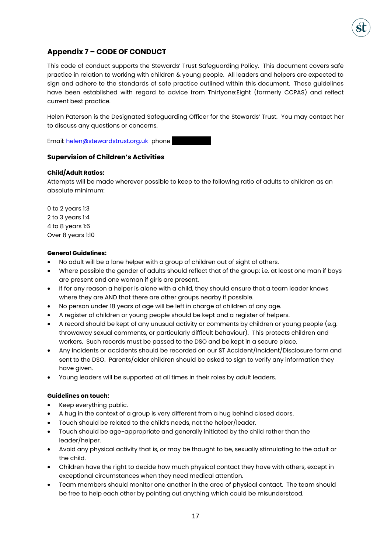

# **Appendix 7 – CODE OF CONDUCT**

This code of conduct supports the Stewards' Trust Safeguarding Policy. This document covers safe practice in relation to working with children & young people. All leaders and helpers are expected to sign and adhere to the standards of safe practice outlined within this document. These guidelines have been established with regard to advice from Thirtyone:Eight (formerly CCPAS) and reflect current best practice.

Helen Paterson is the Designated Safeguarding Officer for the Stewards' Trust. You may contact her to discuss any questions or concerns.

Email[: helen@stewardstrust.org.uk](mailto:helen@stewardstrust.org.uk) phone

### **Supervision of Children's Activities**

### **Child/Adult Ratios:**

Attempts will be made wherever possible to keep to the following ratio of adults to children as an absolute minimum:

0 to 2 years 1:3 2 to 3 years 1:4 4 to 8 years 1:6 Over 8 years 1:10

### **General Guidelines:**

- No adult will be a lone helper with a group of children out of sight of others.
- Where possible the gender of adults should reflect that of the group: i.e. at least one man if boys are present and one woman if girls are present.
- If for any reason a helper is alone with a child, they should ensure that a team leader knows where they are AND that there are other groups nearby if possible.
- No person under 18 years of age will be left in charge of children of any age.
- A register of children or young people should be kept and a register of helpers.
- A record should be kept of any unusual activity or comments by children or young people (e.g. throwaway sexual comments, or particularly difficult behaviour). This protects children and workers. Such records must be passed to the DSO and be kept in a secure place.
- Any incidents or accidents should be recorded on our ST Accident/Incident/Disclosure form and sent to the DSO. Parents/older children should be asked to sign to verify any information they have given.
- Young leaders will be supported at all times in their roles by adult leaders.

#### **Guidelines on touch:**

- Keep everything public.
- A hug in the context of a group is very different from a hug behind closed doors.
- Touch should be related to the child's needs, not the helper/leader.
- Touch should be age-appropriate and generally initiated by the child rather than the leader/helper.
- Avoid any physical activity that is, or may be thought to be, sexually stimulating to the adult or the child.
- Children have the right to decide how much physical contact they have with others, except in exceptional circumstances when they need medical attention.
- Team members should monitor one another in the area of physical contact. The team should be free to help each other by pointing out anything which could be misunderstood.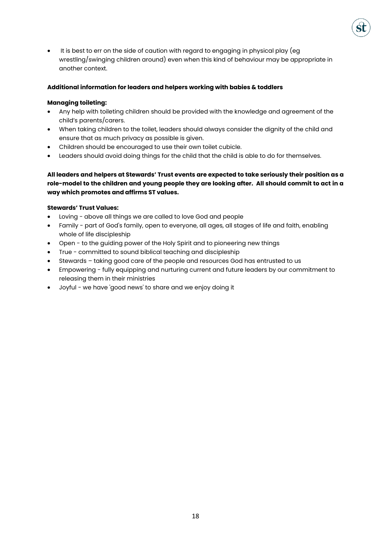• It is best to err on the side of caution with regard to engaging in physical play (eg wrestling/swinging children around) even when this kind of behaviour may be appropriate in another context.

### **Additional information for leaders and helpers working with babies & toddlers**

### **Managing toileting:**

- Any help with toileting children should be provided with the knowledge and agreement of the child's parents/carers.
- When taking children to the toilet, leaders should always consider the dignity of the child and ensure that as much privacy as possible is given.
- Children should be encouraged to use their own toilet cubicle.
- Leaders should avoid doing things for the child that the child is able to do for themselves.

**All leaders and helpers at Stewards' Trust events are expected to take seriously their position as a role-model to the children and young people they are looking after. All should commit to act in a way which promotes and affirms ST values.** 

### **Stewards' Trust Values:**

- Loving above all things we are called to love God and people
- Family part of God's family, open to everyone, all ages, all stages of life and faith, enabling whole of life discipleship
- Open to the guiding power of the Holy Spirit and to pioneering new things
- True committed to sound biblical teaching and discipleship
- Stewards taking good care of the people and resources God has entrusted to us
- Empowering fully equipping and nurturing current and future leaders by our commitment to releasing them in their ministries
- Joyful we have 'good news' to share and we enjoy doing it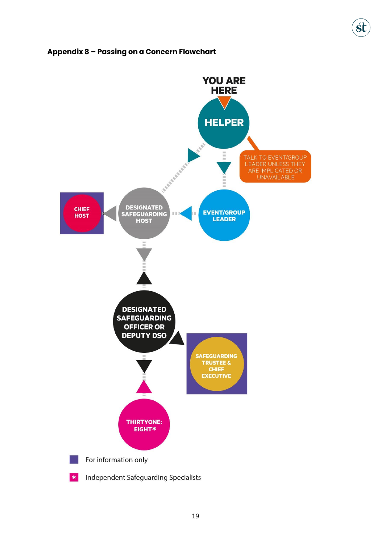# **Appendix 8 – Passing on a Concern Flowchart**

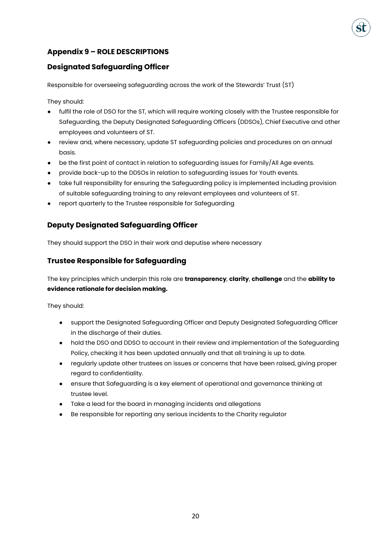# **Appendix 9 – ROLE DESCRIPTIONS**

# **Designated Safeguarding Officer**

Responsible for overseeing safeguarding across the work of the Stewards' Trust (ST)

They should:

- fulfil the role of DSO for the ST, which will require working closely with the Trustee responsible for Safeguarding, the Deputy Designated Safeguarding Officers (DDSOs), Chief Executive and other employees and volunteers of ST.
- review and, where necessary, update ST safeguarding policies and procedures on an annual basis.
- be the first point of contact in relation to safeguarding issues for Family/All Age events.
- provide back-up to the DDSOs in relation to safeguarding issues for Youth events.
- take full responsibility for ensuring the Safeguarding policy is implemented including provision of suitable safeguarding training to any relevant employees and volunteers of ST.
- report quarterly to the Trustee responsible for Safeguarding

# **Deputy Designated Safeguarding Officer**

They should support the DSO in their work and deputise where necessary

# **Trustee Responsible for Safeguarding**

The key principles which underpin this role are **transparency**, **clarity**, **challenge** and the **ability to evidence rationale for decision making.**

They should:

- support the Designated Safeguarding Officer and Deputy Designated Safeguarding Officer in the discharge of their duties.
- hold the DSO and DDSO to account in their review and implementation of the Safeguarding Policy, checking it has been updated annually and that all training is up to date.
- regularly update other trustees on issues or concerns that have been raised, giving proper regard to confidentiality.
- ensure that Safeguarding is a key element of operational and governance thinking at trustee level.
- Take a lead for the board in managing incidents and allegations
- Be responsible for reporting any serious incidents to the Charity regulator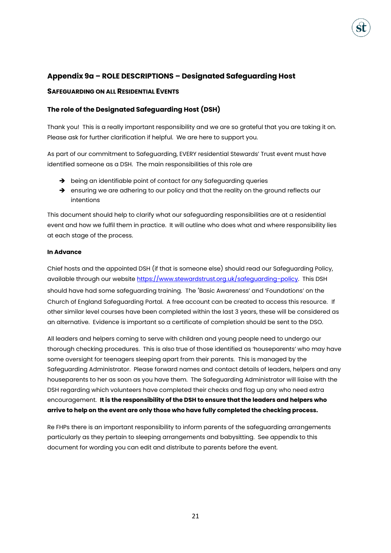# **Appendix 9a – ROLE DESCRIPTIONS – Designated Safeguarding Host**

### **SAFEGUARDING ON ALL RESIDENTIAL EVENTS**

### **The role of the Designated Safeguarding Host (DSH)**

Thank you! This is a really important responsibility and we are so grateful that you are taking it on. Please ask for further clarification if helpful. We are here to support you.

As part of our commitment to Safeguarding, EVERY residential Stewards' Trust event must have identified someone as a DSH. The main responsibilities of this role are

- → being an identifiable point of contact for any Safeguarding queries
- → ensuring we are adhering to our policy and that the reality on the ground reflects our intentions

This document should help to clarify what our safeguarding responsibilities are at a residential event and how we fulfil them in practice. It will outline who does what and where responsibility lies at each stage of the process.

### **In Advance**

Chief hosts and the appointed DSH (if that is someone else) should read our Safeguarding Policy, available through our websit[e https://www.stewardstrust.org.uk/safeguarding-policy.](https://www.stewardstrust.org.uk/safeguarding-policy) This DSH should have had some safeguarding training. The 'Basic Awareness' and 'Foundations' on the Church of England Safeguarding Portal. A free account can be created to access this resource. If other similar level courses have been completed within the last 3 years, these will be considered as an alternative. Evidence is important so a certificate of completion should be sent to the DSO.

All leaders and helpers coming to serve with children and young people need to undergo our thorough checking procedures. This is also true of those identified as 'houseparents' who may have some oversight for teenagers sleeping apart from their parents. This is managed by the Safeguarding Administrator. Please forward names and contact details of leaders, helpers and any houseparents to her as soon as you have them. The Safeguarding Administrator will liaise with the DSH regarding which volunteers have completed their checks and flag up any who need extra encouragement. **It is the responsibility of the DSH to ensure that the leaders and helpers who arrive to help on the event are only those who have fully completed the checking process.**

Re FHPs there is an important responsibility to inform parents of the safeguarding arrangements particularly as they pertain to sleeping arrangements and babysitting. See appendix to this document for wording you can edit and distribute to parents before the event.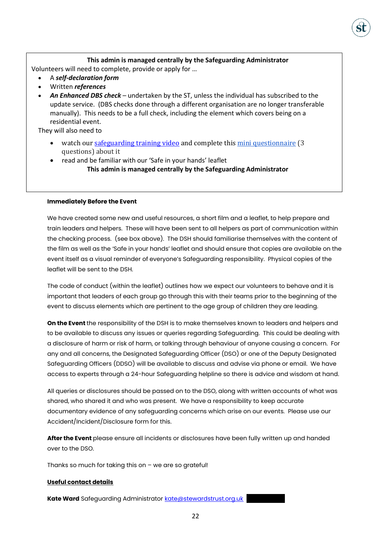### **This admin is managed centrally by the Safeguarding Administrator**

Volunteers will need to complete, provide or apply for …

- A *self-declaration form*
- Written *references*
- *An Enhanced DBS check* undertaken by the ST, unless the individual has subscribed to the update service. (DBS checks done through a different organisation are no longer transferable manually). This needs to be a full check, including the element which covers being on a residential event.

They will also need to

- watch our [safeguarding training video](https://www.youtube.com/watch?v=sw_HY_pcbVU) and complete thi[s mini questionnaire](https://docs.google.com/forms/d/1zlcwltbq3hV1LrcjypKxsFl8e3vw8d6YzAGKsOYgF_g/edit?ts=6227508a) (3) questions) about it
- read and be familiar with our 'Safe in your hands' leaflet **This admin is managed centrally by the Safeguarding Administrator**

### **Immediately Before the Event**

We have created some new and useful resources, a short film and a leaflet, to help prepare and train leaders and helpers. These will have been sent to all helpers as part of communication within the checking process. (see box above). The DSH should familiarise themselves with the content of the film as well as the 'Safe in your hands' leaflet and should ensure that copies are available on the event itself as a visual reminder of everyone's Safeguarding responsibility. Physical copies of the leaflet will be sent to the DSH.

The code of conduct (within the leaflet) outlines how we expect our volunteers to behave and it is important that leaders of each group go through this with their teams prior to the beginning of the event to discuss elements which are pertinent to the age group of children they are leading.

**On the Event** the responsibility of the DSH is to make themselves known to leaders and helpers and to be available to discuss any issues or queries regarding Safeguarding. This could be dealing with a disclosure of harm or risk of harm, or talking through behaviour of anyone causing a concern. For any and all concerns, the Designated Safeguarding Officer (DSO) or one of the Deputy Designated Safeguarding Officers (DDSO) will be available to discuss and advise via phone or email. We have access to experts through a 24-hour Safeguarding helpline so there is advice and wisdom at hand.

All queries or disclosures should be passed on to the DSO, along with written accounts of what was shared, who shared it and who was present. We have a responsibility to keep accurate documentary evidence of any safeguarding concerns which arise on our events. Please use our Accident/Incident/Disclosure form for this.

**After the Event** please ensure all incidents or disclosures have been fully written up and handed over to the DSO.

Thanks so much for taking this on – we are so grateful!

### **Useful contact details**

**Kate Ward** Safeguarding Administrator **kate@stewardstrust.org.uk**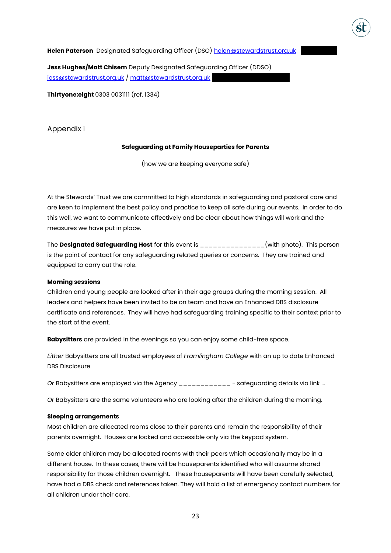Helen Paterson Designated Safeguarding Officer (DSO) helen@stewardstrust.org.uk

**Jess Hughes/Matt Chisem** Deputy Designated Safeguarding Officer (DDSO) [jess@stewardstrust.org.uk](mailto:jess@stewardstrust.org.uk) / [matt@stewardstrust.org.uk](mailto:matt@stewardstrust.org.uk)

**Thirtyone:eight** 0303 0031111 (ref. 1334)

Appendix i

### **Safeguarding at Family Houseparties for Parents**

(how we are keeping everyone safe)

At the Stewards' Trust we are committed to high standards in safeguarding and pastoral care and are keen to implement the best policy and practice to keep all safe during our events. In order to do this well, we want to communicate effectively and be clear about how things will work and the measures we have put in place.

The **Designated Safeguarding Host** for this event is \_\_\_\_\_\_\_\_\_\_\_\_\_\_\_(with photo). This person is the point of contact for any safeguarding related queries or concerns. They are trained and equipped to carry out the role.

### **Morning sessions**

Children and young people are looked after in their age groups during the morning session. All leaders and helpers have been invited to be on team and have an Enhanced DBS disclosure certificate and references. They will have had safeguarding training specific to their context prior to the start of the event.

**Babysitters** are provided in the evenings so you can enjoy some child-free space.

*Either* Babysitters are all trusted employees of *Framlingham College* with an up to date Enhanced DBS Disclosure

*Or* Babysitters are employed via the Agency \_\_\_\_\_\_\_\_\_\_\_\_ - safeguarding details via link …

*Or* Babysitters are the same volunteers who are looking after the children during the morning.

### **Sleeping arrangements**

Most children are allocated rooms close to their parents and remain the responsibility of their parents overnight. Houses are locked and accessible only via the keypad system.

Some older children may be allocated rooms with their peers which occasionally may be in a different house. In these cases, there will be houseparents identified who will assume shared responsibility for those children overnight. These houseparents will have been carefully selected, have had a DBS check and references taken. They will hold a list of emergency contact numbers for all children under their care.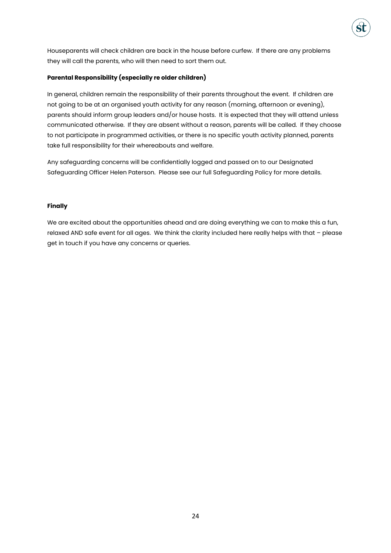

### **Parental Responsibility (especially re older children)**

In general, children remain the responsibility of their parents throughout the event. If children are not going to be at an organised youth activity for any reason (morning, afternoon or evening), parents should inform group leaders and/or house hosts. It is expected that they will attend unless communicated otherwise. If they are absent without a reason, parents will be called. If they choose to not participate in programmed activities, or there is no specific youth activity planned, parents take full responsibility for their whereabouts and welfare.

Any safeguarding concerns will be confidentially logged and passed on to our Designated Safeguarding Officer Helen Paterson. Please see our full Safeguarding Policy for more details.

### **Finally**

We are excited about the opportunities ahead and are doing everything we can to make this a fun, relaxed AND safe event for all ages. We think the clarity included here really helps with that – please get in touch if you have any concerns or queries.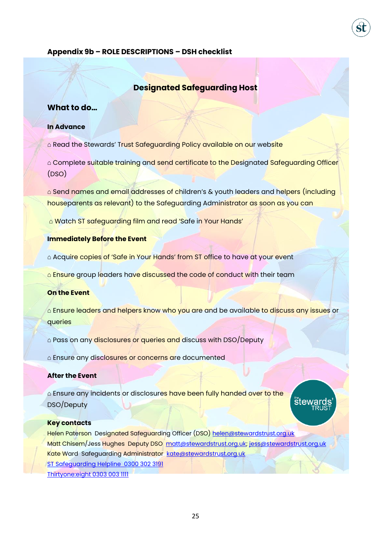### **Appendix 9b – ROLE DESCRIPTIONS – DSH checklist**

# **Designated Safeguarding Host**

# **What to do…**

# **In Advance**

△ Read the Stewards' Trust Safeguarding Policy available on our website

⌂ Complete suitable training and send certificate to the Designated Safeguarding Officer (DSO)

△ Send names and email addresses of children's & youth leaders and helpers (including houseparents as relevant) to the Safeguarding Administrator as soon as you can

⌂ Watch ST safeguarding film and read 'Safe in Your Hands'

### **Immediately Before the Event**

△ Acquire copies of 'Safe in Your Hands' from ST office to have at your event

**△ Ensure** group leaders have discussed the code of conduct with their team

### **On the Event**

△ Ensure leaders and helpers know who you are and be available to discuss any issues or queries

 $\triangle$  Pass on any disclosures or queries and discuss with DSO/Deputy

△ Ensure any disclosures or concerns are documented

#### **After the Event**

△ Ensure any incidents or disclosures have been fully handed over to the DSO/Deputy

# **stey**

#### **Key contacts**

Helen Paterson Designated Safeguarding Officer (DSO) [helen@stewardstrust.org.uk](mailto:helen@stewardstrust.org.uk) Matt Chisem/Jess Hughes Deputy DSO [matt@stewardstrust.org.uk;](mailto:matt@stewardstrust.org.uk) [jess@stewardstrust.org.uk](mailto:jess@stewardstrust.org.uk) Kate Ward Safeguarding Administrator [kate@stewardstrust.org.uk](mailto:kate@stewardstrust.org.uk) ST Safeguarding Helpline 0300 302 3191 Thirtyone:eight 0303 003 1111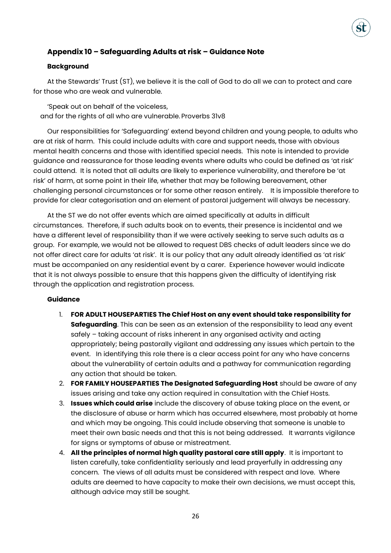# **Appendix 10 – Safeguarding Adults at risk – Guidance Note**

### **Background**

At the Stewards' Trust (ST), we believe it is the call of God to do all we can to protect and care for those who are weak and vulnerable.

'Speak out on behalf of the voiceless, and for the rights of all who are vulnerable. Proverbs 31v8

Our responsibilities for 'Safeguarding' extend beyond children and young people, to adults who are at risk of harm. This could include adults with care and support needs, those with obvious mental health concerns and those with identified special needs. This note is intended to provide guidance and reassurance for those leading events where adults who could be defined as 'at risk' could attend. It is noted that all adults are likely to experience vulnerability, and therefore be 'at risk' of harm, at some point in their life, whether that may be following bereavement, other challenging personal circumstances or for some other reason entirely. It is impossible therefore to provide for clear categorisation and an element of pastoral judgement will always be necessary.

At the ST we do not offer events which are aimed specifically at adults in difficult circumstances. Therefore, if such adults book on to events, their presence is incidental and we have a different level of responsibility than if we were actively seeking to serve such adults as a group. For example, we would not be allowed to request DBS checks of adult leaders since we do not offer direct care for adults 'at risk'. It is our policy that any adult already identified as 'at risk' must be accompanied on any residential event by a carer. Experience however would indicate that it is not always possible to ensure that this happens given the difficulty of identifying risk through the application and registration process.

### **Guidance**

- 1. **FOR ADULT HOUSEPARTIES The Chief Host on any event should take responsibility for Safeguarding**. This can be seen as an extension of the responsibility to lead any event safely – taking account of risks inherent in any organised activity and acting appropriately; being pastorally vigilant and addressing any issues which pertain to the event. In identifying this role there is a clear access point for any who have concerns about the vulnerability of certain adults and a pathway for communication regarding any action that should be taken.
- 2. **FOR FAMILY HOUSEPARTIES The Designated Safeguarding Host** should be aware of any issues arising and take any action required in consultation with the Chief Hosts.
- 3. **Issues which could arise** include the discovery of abuse taking place on the event, or the disclosure of abuse or harm which has occurred elsewhere, most probably at home and which may be ongoing. This could include observing that someone is unable to meet their own basic needs and that this is not being addressed. It warrants vigilance for signs or symptoms of abuse or mistreatment.
- 4. **All the principles of normal high quality pastoral care still apply**. It is important to listen carefully, take confidentiality seriously and lead prayerfully in addressing any concern. The views of all adults must be considered with respect and love. Where adults are deemed to have capacity to make their own decisions, we must accept this, although advice may still be sought.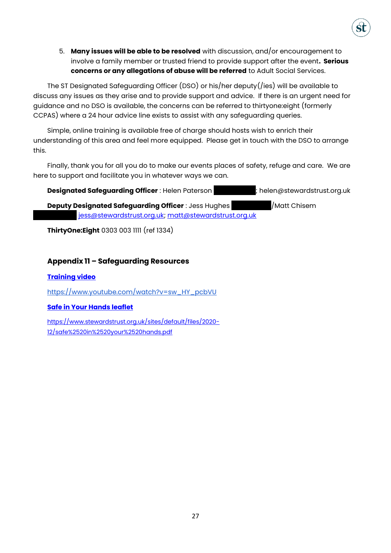5. **Many issues will be able to be resolved** with discussion, and/or encouragement to involve a family member or trusted friend to provide support after the event**. Serious concerns or any allegations of abuse will be referred** to Adult Social Services.

The ST Designated Safeguarding Officer (DSO) or his/her deputy(/ies) will be available to discuss any issues as they arise and to provide support and advice. If there is an urgent need for guidance and no DSO is available, the concerns can be referred to thirtyone:eight (formerly CCPAS) where a 24 hour advice line exists to assist with any safeguarding queries.

Simple, online training is available free of charge should hosts wish to enrich their understanding of this area and feel more equipped. Please get in touch with the DSO to arrange this.

Finally, thank you for all you do to make our events places of safety, refuge and care. We are here to support and facilitate you in whatever ways we can.

**Designated Safeguarding Officer** : Helen Paterson **1881**; helen@stewardstrust.org.uk

**Deputy Designated Safeguarding Officer** : Jess Hughes **1771156605771156605771666057** iess@stewardstrust.org.uk; [matt@stewardstrust.org.uk](mailto:matt@stewardstrust.org.uk)

**ThirtyOne:Eight** 0303 003 1111 (ref 1334)

# **Appendix 11 – Safeguarding Resources**

# **[Training video](https://www.youtube.com/watch?v=sw_HY_pcbVU)**

[https://www.youtube.com/watch?v=sw\\_HY\\_pcbVU](https://www.youtube.com/watch?v=sw_HY_pcbVU)

# **[Safe in Your Hands leaflet](https://www.stewardstrust.org.uk/sites/default/files/2020-12/safe%2520in%2520your%2520hands.pdf)**

[https://www.stewardstrust.org.uk/sites/default/files/2020-](https://www.stewardstrust.org.uk/sites/default/files/2020-12/safe%2520in%2520your%2520hands.pdf) [12/safe%2520in%2520your%2520hands.pdf](https://www.stewardstrust.org.uk/sites/default/files/2020-12/safe%2520in%2520your%2520hands.pdf)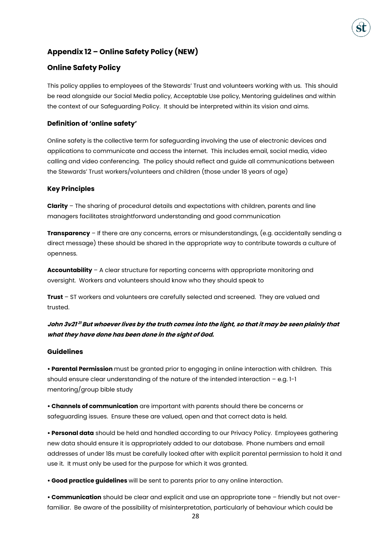

# **Appendix 12 – Online Safety Policy (NEW)**

### **Online Safety Policy**

This policy applies to employees of the Stewards' Trust and volunteers working with us. This should be read alongside our Social Media policy, Acceptable Use policy, Mentoring guidelines and within the context of our Safeguarding Policy. It should be interpreted within its vision and aims.

### **Definition of 'online safety'**

Online safety is the collective term for safeguarding involving the use of electronic devices and applications to communicate and access the internet. This includes email, social media, video calling and video conferencing. The policy should reflect and guide all communications between the Stewards' Trust workers/volunteers and children (those under 18 years of age)

### **Key Principles**

**Clarity** – The sharing of procedural details and expectations with children, parents and line managers facilitates straightforward understanding and good communication

**Transparency** – If there are any concerns, errors or misunderstandings, (e.g. accidentally sending a direct message) these should be shared in the appropriate way to contribute towards a culture of openness.

**Accountability** – A clear structure for reporting concerns with appropriate monitoring and oversight. Workers and volunteers should know who they should speak to

**Trust** – ST workers and volunteers are carefully selected and screened. They are valued and trusted.

# John 3v21<sup>21</sup> But whoever lives by the truth comes into the light, so that it may be seen plainly that **what they have done has been done in the sight of God.**

### **Guidelines**

**• Parental Permission** must be granted prior to engaging in online interaction with children. This should ensure clear understanding of the nature of the intended interaction – e.g. 1-1 mentoring/group bible study

**• Channels of communication** are important with parents should there be concerns or safeguarding issues. Ensure these are valued, open and that correct data is held.

**• Personal data** should be held and handled according to our Privacy Policy. Employees gathering new data should ensure it is appropriately added to our database. Phone numbers and email addresses of under 18s must be carefully looked after with explicit parental permission to hold it and use it. It must only be used for the purpose for which it was granted.

**• Good practice guidelines** will be sent to parents prior to any online interaction.

**• Communication** should be clear and explicit and use an appropriate tone – friendly but not overfamiliar. Be aware of the possibility of misinterpretation, particularly of behaviour which could be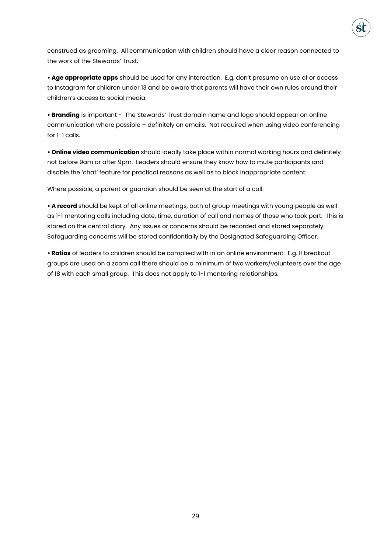

construed as grooming. All communication with children should have a clear reason connected to the work of the Stewards' Trust.

**• Age appropriate apps** should be used for any interaction. E.g. don't presume on use of or access to Instagram for children under 13 and be aware that parents will have their own rules around their children's access to social media.

**• Branding** is important - The Stewards' Trust domain name and logo should appear on online communication where possible – definitely on emails. Not required when using video conferencing for 1-1 calls.

**• Online video communication** should ideally take place within normal working hours and definitely not before 9am or after 9pm. Leaders should ensure they know how to mute participants and disable the 'chat' feature for practical reasons as well as to block inappropriate content.

Where possible, a parent or guardian should be seen at the start of a call.

**• A record** should be kept of all online meetings, both of group meetings with young people as well as 1-1 mentoring calls including date, time, duration of call and names of those who took part. This is stored on the central diary. Any issues or concerns should be recorded and stored separately. Safeguarding concerns will be stored confidentially by the Designated Safeguarding Officer.

**• Ratios** of leaders to children should be complied with in an online environment. E.g. If breakout groups are used on a zoom call there should be a minimum of two workers/volunteers over the age of 18 with each small group. This does not apply to 1-1 mentoring relationships.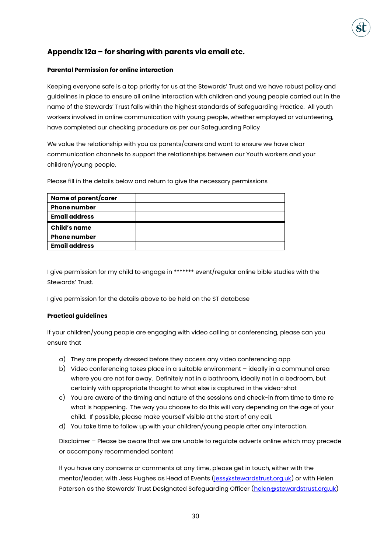# **Appendix 12a – for sharing with parents via email etc.**

### **Parental Permission for online interaction**

Keeping everyone safe is a top priority for us at the Stewards' Trust and we have robust policy and guidelines in place to ensure all online interaction with children and young people carried out in the name of the Stewards' Trust falls within the highest standards of Safeguarding Practice. All youth workers involved in online communication with young people, whether employed or volunteering, have completed our checking procedure as per our Safeguarding Policy

We value the relationship with you as parents/carers and want to ensure we have clear communication channels to support the relationships between our Youth workers and your children/young people.

Please fill in the details below and return to give the necessary permissions

| Name of parent/carer |  |
|----------------------|--|
| <b>Phone number</b>  |  |
| <b>Email address</b> |  |
| <b>Child's name</b>  |  |
| <b>Phone number</b>  |  |
| <b>Email address</b> |  |

I give permission for my child to engage in \*\*\*\*\*\*\* event/regular online bible studies with the Stewards' Trust.

I give permission for the details above to be held on the ST database

### **Practical guidelines**

If your children/young people are engaging with video calling or conferencing, please can you ensure that

- a) They are properly dressed before they access any video conferencing app
- b) Video conferencing takes place in a suitable environment ideally in a communal area where you are not far away. Definitely not in a bathroom, ideally not in a bedroom, but certainly with appropriate thought to what else is captured in the video-shot
- c) You are aware of the timing and nature of the sessions and check-in from time to time re what is happening. The way you choose to do this will vary depending on the age of your child. If possible, please make yourself visible at the start of any call.
- d) You take time to follow up with your children/young people after any interaction.

Disclaimer – Please be aware that we are unable to regulate adverts online which may precede or accompany recommended content

If you have any concerns or comments at any time, please get in touch, either with the mentor/leader, with Jess Hughes as Head of Events [\(jess@stewardstrust.org.uk\)](mailto:jess@stewardstrust.org.uk) or with Helen Paterson as the Stewards' Trust Designated Safeguarding Officer ([helen@stewardstrust.org.uk\)](mailto:helen@stewardstrust.org.uk)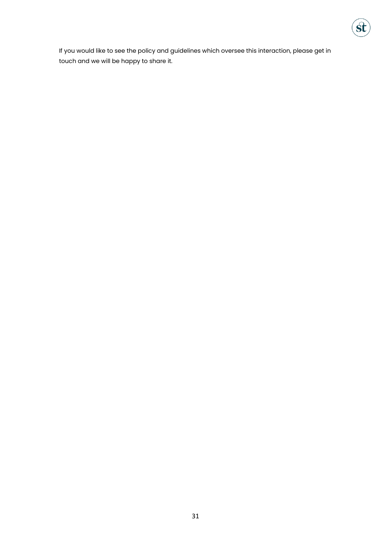

If you would like to see the policy and guidelines which oversee this interaction, please get in touch and we will be happy to share it.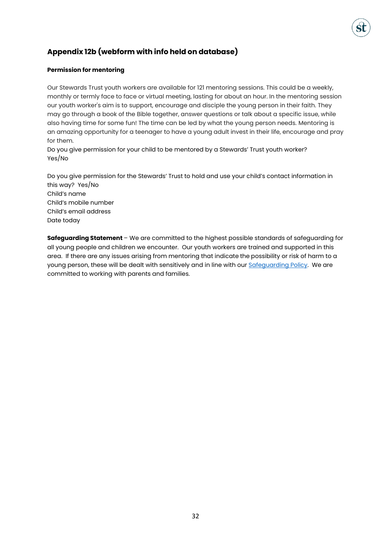# **Appendix 12b (webform with info held on database)**

### **Permission for mentoring**

Our Stewards Trust youth workers are available for 121 mentoring sessions. This could be a weekly, monthly or termly face to face or virtual meeting, lasting for about an hour. In the mentoring session our youth worker's aim is to support, encourage and disciple the young person in their faith. They may go through a book of the Bible together, answer questions or talk about a specific issue, while also having time for some fun! The time can be led by what the young person needs. Mentoring is an amazing opportunity for a teenager to have a young adult invest in their life, encourage and pray for them.

Do you give permission for your child to be mentored by a Stewards' Trust youth worker? Yes/No

Do you give permission for the Stewards' Trust to hold and use your child's contact information in this way? Yes/No Child's name Child's mobile number Child's email address Date today

**Safeguarding Statement** – We are committed to the highest possible standards of safeguarding for all young people and children we encounter. Our youth workers are trained and supported in this area. If there are any issues arising from mentoring that indicate the possibility or risk of harm to a young person, these will be dealt with sensitively and in line with our [Safeguarding Policy.](https://www.stewardstrust.org.uk/sites/stewardstrust.org.uk/files/Safeguarding%20policy%20May%202018_0.pdf) We are committed to working with parents and families.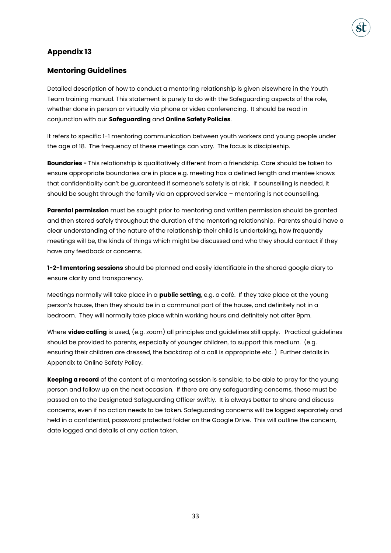# **Appendix 13**

# **Mentoring Guidelines**

Detailed description of how to conduct a mentoring relationship is given elsewhere in the Youth Team training manual. This statement is purely to do with the Safeguarding aspects of the role, whether done in person or virtually via phone or video conferencing. It should be read in conjunction with our **Safeguarding** and **Online Safety Policies**.

It refers to specific 1-1 mentoring communication between youth workers and young people under the age of 18. The frequency of these meetings can vary. The focus is discipleship.

**Boundaries -** This relationship is qualitatively different from a friendship. Care should be taken to ensure appropriate boundaries are in place e.g. meeting has a defined length and mentee knows that confidentiality can't be guaranteed if someone's safety is at risk. If counselling is needed, it should be sought through the family via an approved service – mentoring is not counselling.

**Parental permission** must be sought prior to mentoring and written permission should be granted and then stored safely throughout the duration of the mentoring relationship. Parents should have a clear understanding of the nature of the relationship their child is undertaking, how frequently meetings will be, the kinds of things which might be discussed and who they should contact if they have any feedback or concerns.

**1-2-1 mentoring sessions** should be planned and easily identifiable in the shared google diary to ensure clarity and transparency.

Meetings normally will take place in a **public setting**, e.g. a café. If they take place at the young person's house, then they should be in a communal part of the house, and definitely not in a bedroom. They will normally take place within working hours and definitely not after 9pm.

Where **video calling** is used, (e.g. zoom) all principles and guidelines still apply. Practical guidelines should be provided to parents, especially of younger children, to support this medium. (e.g. ensuring their children are dressed, the backdrop of a call is appropriate etc. ) Further details in Appendix to Online Safety Policy.

**Keeping a record** of the content of a mentoring session is sensible, to be able to pray for the young person and follow up on the next occasion. If there are any safeguarding concerns, these must be passed on to the Designated Safeguarding Officer swiftly. It is always better to share and discuss concerns, even if no action needs to be taken. Safeguarding concerns will be logged separately and held in a confidential, password protected folder on the Google Drive. This will outline the concern, date logged and details of any action taken.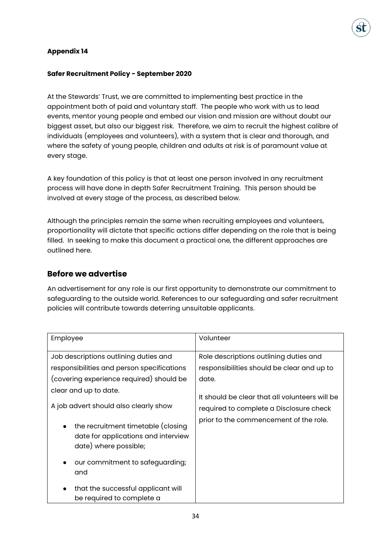# **Appendix 14**

### **Safer Recruitment Policy - September 2020**

At the Stewards' Trust, we are committed to implementing best practice in the appointment both of paid and voluntary staff. The people who work with us to lead events, mentor young people and embed our vision and mission are without doubt our biggest asset, but also our biggest risk. Therefore, we aim to recruit the highest calibre of individuals (employees and volunteers), with a system that is clear and thorough, and where the safety of young people, children and adults at risk is of paramount value at every stage.

A key foundation of this policy is that at least one person involved in any recruitment process will have done in depth Safer Recruitment Training. This person should be involved at every stage of the process, as described below.

Although the principles remain the same when recruiting employees and volunteers, proportionality will dictate that specific actions differ depending on the role that is being filled. In seeking to make this document a practical one, the different approaches are outlined here.

# **Before we advertise**

An advertisement for any role is our first opportunity to demonstrate our commitment to safeguarding to the outside world. References to our safeguarding and safer recruitment policies will contribute towards deterring unsuitable applicants.

| Employee                                                                                                                                                                                                                                                                                                                                                             | Volunteer                                                                                                                                                                                                                            |
|----------------------------------------------------------------------------------------------------------------------------------------------------------------------------------------------------------------------------------------------------------------------------------------------------------------------------------------------------------------------|--------------------------------------------------------------------------------------------------------------------------------------------------------------------------------------------------------------------------------------|
| Job descriptions outlining duties and<br>responsibilities and person specifications<br>(covering experience required) should be<br>clear and up to date.<br>A job advert should also clearly show<br>the recruitment timetable (closing<br>$\bullet$<br>date for applications and interview<br>date) where possible;<br>our commitment to safeguarding;<br>$\bullet$ | Role descriptions outlining duties and<br>responsibilities should be clear and up to<br>date.<br>It should be clear that all volunteers will be<br>required to complete a Disclosure check<br>prior to the commencement of the role. |
| and<br>that the successful applicant will<br>$\bullet$                                                                                                                                                                                                                                                                                                               |                                                                                                                                                                                                                                      |
| be required to complete a                                                                                                                                                                                                                                                                                                                                            |                                                                                                                                                                                                                                      |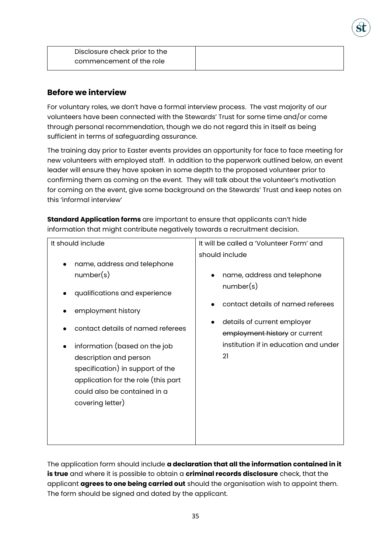| Disclosure check prior to the |  |
|-------------------------------|--|
| commencement of the role      |  |

# **Before we interview**

For voluntary roles, we don't have a formal interview process. The vast majority of our volunteers have been connected with the Stewards' Trust for some time and/or come through personal recommendation, though we do not regard this in itself as being sufficient in terms of safeguarding assurance.

The training day prior to Easter events provides an opportunity for face to face meeting for new volunteers with employed staff. In addition to the paperwork outlined below, an event leader will ensure they have spoken in some depth to the proposed volunteer prior to confirming them as coming on the event. They will talk about the volunteer's motivation for coming on the event, give some background on the Stewards' Trust and keep notes on this 'informal interview'

**Standard Application forms** are important to ensure that applicants can't hide information that might contribute negatively towards a recruitment decision.

| It should include                   | It will be called a 'Volunteer Form' and |
|-------------------------------------|------------------------------------------|
|                                     | should include                           |
| name, address and telephone         |                                          |
| number(s)                           | name, address and telephone              |
| qualifications and experience       | number(s)                                |
| employment history                  | contact details of named referees        |
| contact details of named referees   | details of current employer              |
|                                     | employment history or current            |
| information (based on the job       | institution if in education and under    |
| description and person              | 21                                       |
| specification) in support of the    |                                          |
| application for the role (this part |                                          |
| could also be contained in a        |                                          |
| covering letter)                    |                                          |
|                                     |                                          |
|                                     |                                          |
|                                     |                                          |
|                                     |                                          |

The application form should include **a declaration that all the information contained in it is true** and where it is possible to obtain a **criminal records disclosure** check, that the applicant **agrees to one being carried out** should the organisation wish to appoint them. The form should be signed and dated by the applicant.

35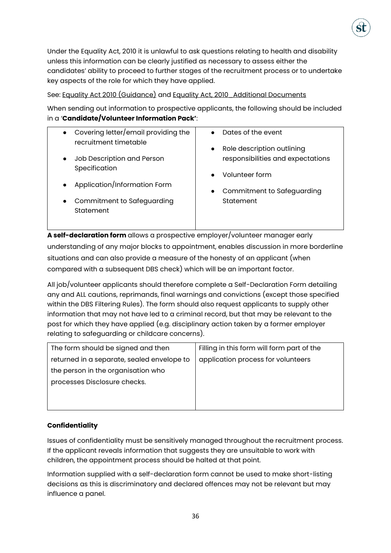

See: [Equality Act 2010 \(Guidance\)](https://www.gov.uk/government/uploads/system/uploads/attachment_data/file/570382/Equality_Act_2010-disability_definition.pdf) and [Equality Act, 2010\\_Additional Documents](https://www.gov.uk/government/publications/equality-act-guidance)

When sending out information to prospective applicants, the following should be included in a '**Candidate/Volunteer Information Pack'**:

| Covering letter/email providing the<br>$\bullet$<br>recruitment timetable<br>Job Description and Person<br>$\bullet$<br>Specification | Dates of the event<br>$\bullet$<br>Role description outlining<br>$\bullet$<br>responsibilities and expectations<br>Volunteer form<br>$\bullet$ |
|---------------------------------------------------------------------------------------------------------------------------------------|------------------------------------------------------------------------------------------------------------------------------------------------|
| Application/Information Form<br>$\bullet$<br>Commitment to Safeguarding<br>$\bullet$<br>Statement                                     | Commitment to Safeguarding<br>$\bullet$<br>Statement                                                                                           |

**A self-declaration form** allows a prospective employer/volunteer manager early understanding of any major blocks to appointment, enables discussion in more borderline situations and can also provide a measure of the honesty of an applicant (when compared with a subsequent DBS check) which will be an important factor.

All job/volunteer applicants should therefore complete a Self-Declaration Form detailing any and ALL cautions, reprimands, final warnings and convictions (except those specified within the DBS Filtering Rules). The form should also request applicants to supply other information that may not have led to a criminal record, but that may be relevant to the post for which they have applied (e.g. disciplinary action taken by a former employer relating to safeguarding or childcare concerns).

| The form should be signed and then         | Filling in this form will form part of the |
|--------------------------------------------|--------------------------------------------|
| returned in a separate, sealed envelope to | application process for volunteers         |
| the person in the organisation who         |                                            |
| processes Disclosure checks.               |                                            |
|                                            |                                            |
|                                            |                                            |

# **Confidentiality**

Issues of confidentiality must be sensitively managed throughout the recruitment process. If the applicant reveals information that suggests they are unsuitable to work with children, the appointment process should be halted at that point.

Information supplied with a self-declaration form cannot be used to make short-listing decisions as this is discriminatory and declared offences may not be relevant but may influence a panel.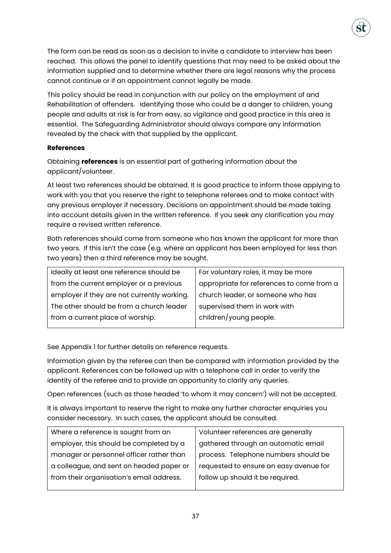The form can be read as soon as a decision to invite a candidate to interview has been reached. This allows the panel to identify questions that may need to be asked about the information supplied and to determine whether there are legal reasons why the process cannot continue or if an appointment cannot legally be made.

This policy should be read in conjunction with our policy on the employment of and Rehabilitation of offenders. Identifying those who could be a danger to children, young people and adults at risk is far from easy, so vigilance and good practice in this area is essential. The Safeguarding Administrator should always compare any information revealed by the check with that supplied by the applicant.

# **References**

Obtaining **references** is an essential part of gathering information about the applicant/volunteer.

At least two references should be obtained. It is good practice to inform those applying to work with you that you reserve the right to telephone referees and to make contact with any previous employer if necessary. Decisions on appointment should be made taking into account details given in the written reference. If you seek any clarification you may require a revised written reference.

Both references should come from someone who has known the applicant for more than two years. If this isn't the case (e.g. where an applicant has been employed for less than two years) then a third reference may be sought.

| Ideally at least one reference should be    | For voluntary roles, it may be more       |
|---------------------------------------------|-------------------------------------------|
| from the current employer or a previous     | appropriate for references to come from a |
| employer if they are not currently working. | church leader, or someone who has         |
| The other should be from a church leader    | supervised them in work with              |
| from a current place of worship.            | children/young people.                    |
|                                             |                                           |

See Appendix 1 for further details on reference requests.

Information given by the referee can then be compared with information provided by the applicant. References can be followed up with a telephone call in order to verify the identity of the referee and to provide an opportunity to clarify any queries.

Open references (such as those headed 'to whom it may concern') will not be accepted.

It is always important to reserve the right to make any further character enquiries you consider necessary. In such cases, the applicant should be consulted.

| Where a reference is sought from an      | Volunteer references are generally     |
|------------------------------------------|----------------------------------------|
| employer, this should be completed by a  | gathered through an automatic email    |
| manager or personnel officer rather than | process. Telephone numbers should be   |
| a colleague, and sent on headed paper or | requested to ensure an easy avenue for |
| from their organisation's email address. | follow up should it be required.       |
|                                          |                                        |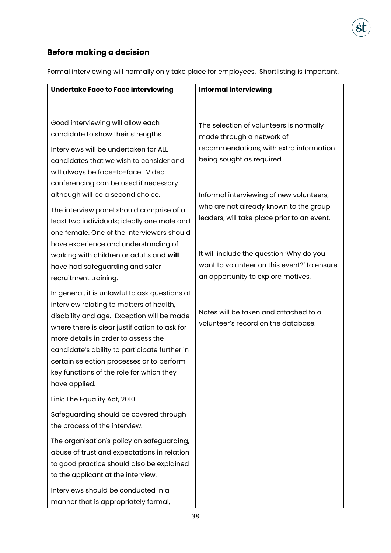

# **Before making a decision**

Formal interviewing will normally only take place for employees. Shortlisting is important.

| Undertake Face to Face interviewing                                                                                                                                                                                                                                                                                                                                        | <b>Informal interviewing</b>                                                                                                  |
|----------------------------------------------------------------------------------------------------------------------------------------------------------------------------------------------------------------------------------------------------------------------------------------------------------------------------------------------------------------------------|-------------------------------------------------------------------------------------------------------------------------------|
| Good interviewing will allow each                                                                                                                                                                                                                                                                                                                                          | The selection of volunteers is normally                                                                                       |
| candidate to show their strengths<br>Interviews will be undertaken for ALL<br>candidates that we wish to consider and                                                                                                                                                                                                                                                      | made through a network of<br>recommendations, with extra information<br>being sought as required.                             |
| will always be face-to-face. Video<br>conferencing can be used if necessary<br>although will be a second choice.                                                                                                                                                                                                                                                           | Informal interviewing of new volunteers,<br>who are not already known to the group                                            |
| The interview panel should comprise of at<br>least two individuals; ideally one male and<br>one female. One of the interviewers should<br>have experience and understanding of                                                                                                                                                                                             | leaders, will take place prior to an event.                                                                                   |
| working with children or adults and will<br>have had safeguarding and safer<br>recruitment training.                                                                                                                                                                                                                                                                       | It will include the question 'Why do you<br>want to volunteer on this event?' to ensure<br>an opportunity to explore motives. |
| In general, it is unlawful to ask questions at<br>interview relating to matters of health,<br>disability and age. Exception will be made<br>where there is clear justification to ask for<br>more details in order to assess the<br>candidate's ability to participate further in<br>certain selection processes or to perform<br>key functions of the role for which they | Notes will be taken and attached to a<br>volunteer's record on the database.                                                  |
| have applied.<br>Link: The Equality Act, 2010                                                                                                                                                                                                                                                                                                                              |                                                                                                                               |
| Safeguarding should be covered through<br>the process of the interview.                                                                                                                                                                                                                                                                                                    |                                                                                                                               |
| The organisation's policy on safeguarding,<br>abuse of trust and expectations in relation<br>to good practice should also be explained<br>to the applicant at the interview.                                                                                                                                                                                               |                                                                                                                               |
| Interviews should be conducted in a<br>manner that is appropriately formal,                                                                                                                                                                                                                                                                                                |                                                                                                                               |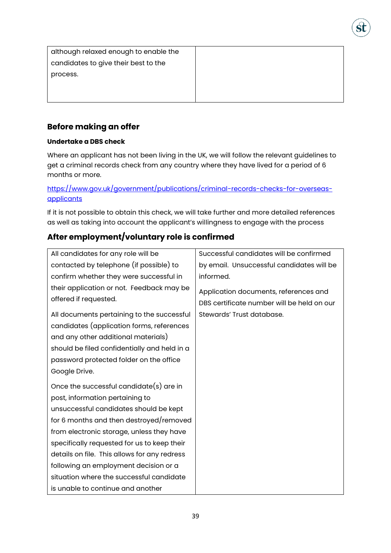| although relaxed enough to enable the |
|---------------------------------------|
| candidates to give their best to the  |
| process.                              |
|                                       |
|                                       |
|                                       |

# **Before making an offer**

# **Undertake a DBS check**

Where an applicant has not been living in the UK, we will follow the relevant guidelines to get a criminal records check from any country where they have lived for a period of 6 months or more.

# [https://www.gov.uk/government/publications/criminal-records-checks-for-overseas](https://www.gov.uk/government/publications/criminal-records-checks-for-overseas-applicants)**[applicants](https://www.gov.uk/government/publications/criminal-records-checks-for-overseas-applicants)**

If it is not possible to obtain this check, we will take further and more detailed references as well as taking into account the applicant's willingness to engage with the process

# **After employment/voluntary role is confirmed**

| All candidates for any role will be          | Successful candidates will be confirmed    |
|----------------------------------------------|--------------------------------------------|
| contacted by telephone (if possible) to      | by email. Unsuccessful candidates will be  |
| confirm whether they were successful in      | informed.                                  |
| their application or not. Feedback may be    | Application documents, references and      |
| offered if requested.                        | DBS certificate number will be held on our |
| All documents pertaining to the successful   | Stewards' Trust database.                  |
| candidates (application forms, references    |                                            |
| and any other additional materials)          |                                            |
| should be filed confidentially and held in a |                                            |
| password protected folder on the office      |                                            |
| Google Drive.                                |                                            |
| Once the successful candidate $(s)$ are in   |                                            |
| post, information pertaining to              |                                            |
| unsuccessful candidates should be kept       |                                            |
| for 6 months and then destroyed/removed      |                                            |
| from electronic storage, unless they have    |                                            |
| specifically requested for us to keep their  |                                            |
| details on file. This allows for any redress |                                            |
| following an employment decision or a        |                                            |
| situation where the successful candidate     |                                            |
| is unable to continue and another            |                                            |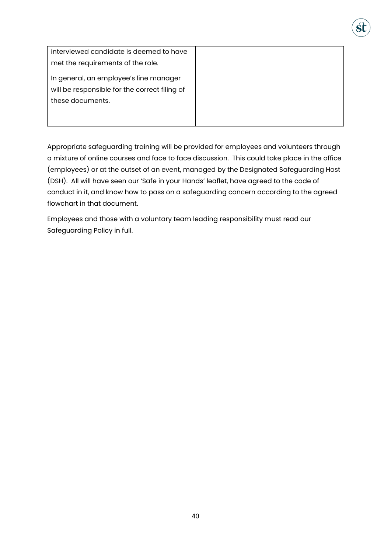| interviewed candidate is deemed to have       |
|-----------------------------------------------|
| met the requirements of the role.             |
| In general, an employee's line manager        |
| will be responsible for the correct filing of |
| these documents.                              |
|                                               |
|                                               |

Appropriate safeguarding training will be provided for employees and volunteers through a mixture of online courses and face to face discussion. This could take place in the office (employees) or at the outset of an event, managed by the Designated Safeguarding Host (DSH). All will have seen our 'Safe in your Hands' leaflet, have agreed to the code of conduct in it, and know how to pass on a safeguarding concern according to the agreed flowchart in that document.

Employees and those with a voluntary team leading responsibility must read our Safeguarding Policy in full.